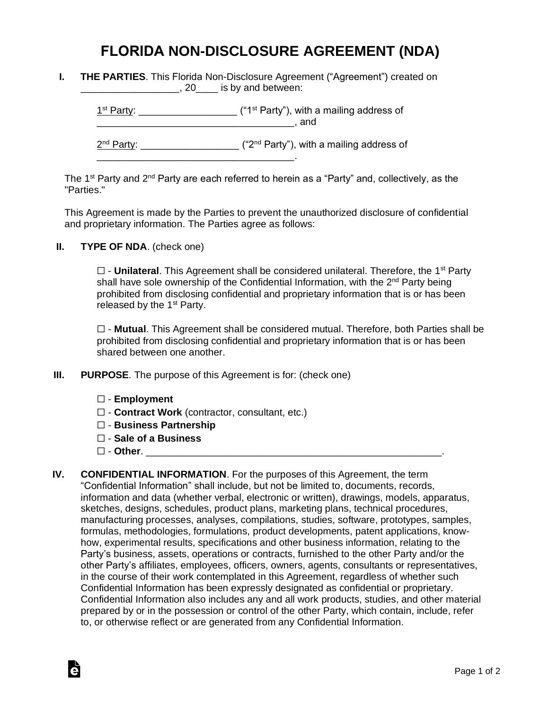## **FLORIDA NON-DISCLOSURE AGREEMENT (NDA)**

|  | <b>THE PARTIES.</b> This Florida Non-Disclosure Agreement ("Agreement") created on |
|--|------------------------------------------------------------------------------------|
|  | $, 20$ is by and between:                                                          |

 $1<sup>st</sup> Party: _______$  $\blacksquare$  and  $\blacksquare$ 

2<sup>nd</sup> Party: \_\_\_\_\_\_\_\_\_\_\_\_\_\_\_\_\_\_\_\_ ("2<sup>nd</sup> Party"), with a mailing address of

The 1<sup>st</sup> Party and 2<sup>nd</sup> Party are each referred to herein as a "Party" and, collectively, as the "Parties."

This Agreement is made by the Parties to prevent the unauthorized disclosure of confidential and proprietary information. The Parties agree as follows:

**II. TYPE OF NDA**. (check one)

□ - **Unilateral**. This Agreement shall be considered unilateral. Therefore, the 1<sup>st</sup> Party shall have sole ownership of the Confidential Information, with the 2<sup>nd</sup> Party being prohibited from disclosing confidential and proprietary information that is or has been released by the  $1<sup>st</sup>$  Party.

☐ - **Mutual**. This Agreement shall be considered mutual. Therefore, both Parties shall be prohibited from disclosing confidential and proprietary information that is or has been shared between one another.

**III. PURPOSE**. The purpose of this Agreement is for: (check one)

\_\_\_\_\_\_\_\_\_\_\_\_\_\_\_\_\_\_\_\_\_\_\_\_\_\_\_\_\_\_\_\_\_\_\_\_.

- ☐ **Employment**
- ☐ **Contract Work** (contractor, consultant, etc.)
- ☐ **Business Partnership**
- ☐ **Sale of a Business**
- ☐ **Other**. \_\_\_\_\_\_\_\_\_\_\_\_\_\_\_\_\_\_\_\_\_\_\_\_\_\_\_\_\_\_\_\_\_\_\_\_\_\_\_\_\_\_\_\_\_\_\_\_\_\_\_\_\_\_.

Ġ

**IV. CONFIDENTIAL INFORMATION**. For the purposes of this Agreement, the term "Confidential Information" shall include, but not be limited to, documents, records, information and data (whether verbal, electronic or written), drawings, models, apparatus, sketches, designs, schedules, product plans, marketing plans, technical procedures, manufacturing processes, analyses, compilations, studies, software, prototypes, samples, formulas, methodologies, formulations, product developments, patent applications, knowhow, experimental results, specifications and other business information, relating to the Party's business, assets, operations or contracts, furnished to the other Party and/or the other Party's affiliates, employees, officers, owners, agents, consultants or representatives, in the course of their work contemplated in this Agreement, regardless of whether such Confidential Information has been expressly designated as confidential or proprietary. Confidential Information also includes any and all work products, studies, and other material prepared by or in the possession or control of the other Party, which contain, include, refer to, or otherwise reflect or are generated from any Confidential Information.